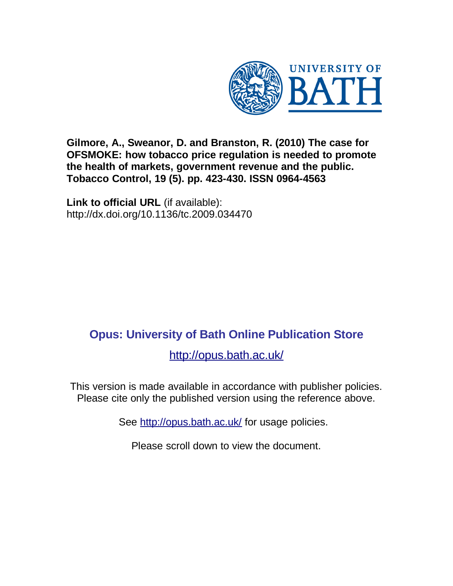

**Gilmore, A., Sweanor, D. and Branston, R. (2010) The case for OFSMOKE: how tobacco price regulation is needed to promote the health of markets, government revenue and the public. Tobacco Control, 19 (5). pp. 423-430. ISSN 0964-4563**

**Link to official URL** (if available): http://dx.doi.org/10.1136/tc.2009.034470

## **Opus: University of Bath Online Publication Store**

<http://opus.bath.ac.uk/>

This version is made available in accordance with publisher policies. Please cite only the published version using the reference above.

See<http://opus.bath.ac.uk/> for usage policies.

Please scroll down to view the document.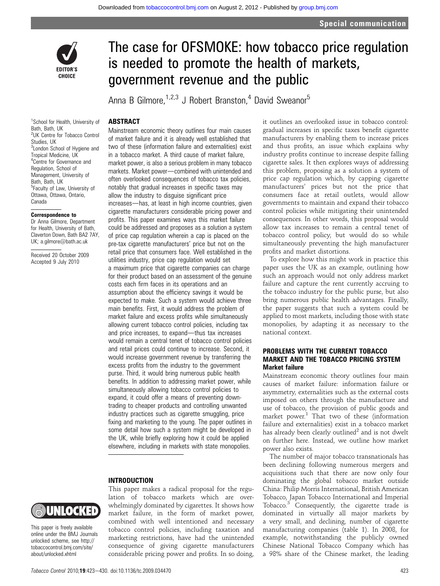

# The case for OFSMOKE: how tobacco price regulation is needed to promote the health of markets, government revenue and the public

Anna B Gilmore,  $1,2,3$  J Robert Branston,  $4$  David Sweanor  $5$ 

#### **ABSTRACT**

<sup>1</sup>School for Health, University of Bath, Bath, UK 2 UK Centre for Tobacco Control Studies, UK <sup>3</sup> London School of Hygiene and Tropical Medicine, UK 4 Centre for Governance and Regulation, School of Management, University of Bath, Bath, UK <sup>5</sup>Faculty of Law, University of Ottawa, Ottawa, Ontario, Canada

#### Correspondence to

Dr Anna Gilmore, Department for Health, University of Bath, Claverton Down, Bath BA2 7AY, UK; a.gilmore@bath.ac.uk

Received 20 October 2009 Accepted 9 July 2010

Mainstream economic theory outlines four main causes of market failure and it is already well established that two of these (information failure and externalities) exist in a tobacco market. A third cause of market failure, market power, is also a serious problem in many tobacco markets. Market power-combined with unintended and often overlooked consequences of tobacco tax policies, notably that gradual increases in specific taxes may allow the industry to disguise significant price increases—has, at least in high income countries, given cigarette manufacturers considerable pricing power and profits. This paper examines ways this market failure could be addressed and proposes as a solution a system of price cap regulation wherein a cap is placed on the pre-tax cigarette manufacturers' price but not on the retail price that consumers face. Well established in the utilities industry, price cap regulation would set a maximum price that cigarette companies can charge for their product based on an assessment of the genuine costs each firm faces in its operations and an assumption about the efficiency savings it would be expected to make. Such a system would achieve three main benefits. First, it would address the problem of market failure and excess profits while simultaneously allowing current tobacco control policies, including tax and price increases, to expand-thus tax increases would remain a central tenet of tobacco control policies and retail prices could continue to increase. Second, it would increase government revenue by transferring the excess profits from the industry to the government purse. Third, it would bring numerous public health benefits. In addition to addressing market power, while simultaneously allowing tobacco control policies to expand, it could offer a means of preventing downtrading to cheaper products and controlling unwanted industry practices such as cigarette smuggling, price fixing and marketing to the young. The paper outlines in some detail how such a system might be developed in the UK, while briefly exploring how it could be applied elsewhere, including in markets with state monopolies.

#### INTRODUCTION



This paper is freely available online under the BMJ Journals unlocked scheme, see http:// tobaccocontrol.bmj.com/site/ about/unlocked.xhtml

This paper makes a radical proposal for the regulation of tobacco markets which are overwhelmingly dominated by cigarettes. It shows how market failure, in the form of market power, combined with well intentioned and necessary tobacco control policies, including taxation and marketing restrictions, have had the unintended consequence of giving cigarette manufacturers considerable pricing power and profits. In so doing, it outlines an overlooked issue in tobacco control: gradual increases in specific taxes benefit cigarette manufacturers by enabling them to increase prices and thus profits, an issue which explains why industry profits continue to increase despite falling cigarette sales. It then explores ways of addressing this problem, proposing as a solution a system of price cap regulation which, by capping cigarette manufacturers' prices but not the price that consumers face at retail outlets, would allow governments to maintain and expand their tobacco control policies while mitigating their unintended consequences. In other words, this proposal would allow tax increases to remain a central tenet of tobacco control policy, but would do so while simultaneously preventing the high manufacturer profits and market distortions.

To explore how this might work in practice this paper uses the UK as an example, outlining how such an approach would not only address market failure and capture the rent currently accruing to the tobacco industry for the public purse, but also bring numerous public health advantages. Finally, the paper suggests that such a system could be applied to most markets, including those with state monopolies, by adapting it as necessary to the national context.

#### PROBLEMS WITH THE CURRENT TOBACCO MARKET AND THE TOBACCO PRICING SYSTEM Market failure

Mainstream economic theory outlines four main causes of market failure: information failure or asymmetry, externalities such as the external costs imposed on others through the manufacture and use of tobacco, the provision of public goods and market power.<sup>1</sup> That two of these (information failure and externalities) exist in a tobacco market has already been clearly outlined<sup>2</sup> and is not dwelt on further here. Instead, we outline how market power also exists.

The number of major tobacco transnationals has been declining following numerous mergers and acquisitions such that there are now only four dominating the global tobacco market outside China: Philip Morris International, British American Tobacco, Japan Tobacco International and Imperial Tobacco.3 Consequently, the cigarette trade is dominated in virtually all major markets by a very small, and declining, number of cigarette manufacturing companies (table 1). In 2008, for example, notwithstanding the publicly owned Chinese National Tobacco Company which has a 98% share of the Chinese market, the leading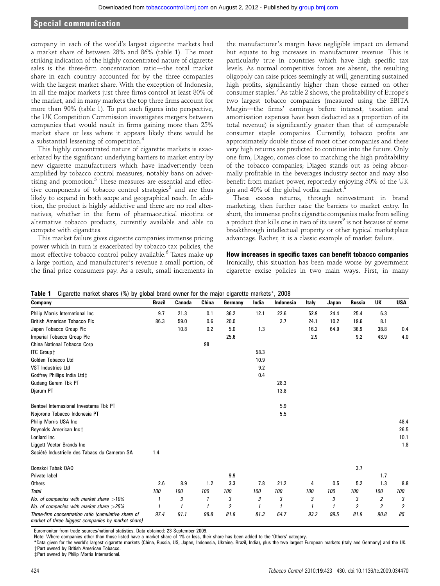company in each of the world's largest cigarette markets had a market share of between 28% and 86% (table 1). The most striking indication of the highly concentrated nature of cigarette sales is the three-firm concentration ratio-the total market share in each country accounted for by the three companies with the largest market share. With the exception of Indonesia, in all the major markets just three firms control at least 80% of the market, and in many markets the top three firms account for more than 90% (table 1). To put such figures into perspective, the UK Competition Commission investigates mergers between companies that would result in firms gaining more than 25% market share or less where it appears likely there would be a substantial lessening of competition.<sup>4</sup>

This highly concentrated nature of cigarette markets is exacerbated by the significant underlying barriers to market entry by new cigarette manufacturers which have inadvertently been amplified by tobacco control measures, notably bans on advertising and promotion. $5$  These measures are essential and effective components of tobacco control strategies $<sup>6</sup>$  and are thus</sup> likely to expand in both scope and geographical reach. In addition, the product is highly addictive and there are no real alternatives, whether in the form of pharmaceutical nicotine or alternative tobacco products, currently available and able to compete with cigarettes.

This market failure gives cigarette companies immense pricing power which in turn is exacerbated by tobacco tax policies, the most effective tobacco control policy available.<sup>6</sup> Taxes make up a large portion, and manufacturer's revenue a small portion, of the final price consumers pay. As a result, small increments in

the manufacturer's margin have negligible impact on demand but equate to big increases in manufacturer revenue. This is particularly true in countries which have high specific tax levels. As normal competitive forces are absent, the resulting oligopoly can raise prices seemingly at will, generating sustained high profits, significantly higher than those earned on other consumer staples.<sup>7</sup> As table 2 shows, the profitability of Europe's two largest tobacco companies (measured using the EBITA Margin-the firms' earnings before interest, taxation and amortisation expenses have been deducted as a proportion of its total revenue) is significantly greater than that of comparable consumer staple companies. Currently, tobacco profits are approximately double those of most other companies and these very high returns are predicted to continue into the future. Only one firm, Diageo, comes close to matching the high profitability of the tobacco companies; Diageo stands out as being abnormally profitable in the beverages industry sector and may also benefit from market power, reportedly enjoying 50% of the UK gin and 40% of the global vodka market.<sup>8</sup>

These excess returns, through reinvestment in brand marketing, then further raise the barriers to market entry. In short, the immense profits cigarette companies make from selling a product that kills one in two of its users<sup>9</sup> is not because of some breakthrough intellectual property or other typical marketplace advantage. Rather, it is a classic example of market failure.

How increases in specific taxes can benefit tobacco companies Ironically, this situation has been made worse by government cigarette excise policies in two main ways. First, in many

| Company                                                                                                   | <b>Brazil</b> | Canada       | China | Germany | India | Indonesia    | <b>Italy</b> | Japan | <b>Russia</b>  | UK             | <b>USA</b>     |
|-----------------------------------------------------------------------------------------------------------|---------------|--------------|-------|---------|-------|--------------|--------------|-------|----------------|----------------|----------------|
| Philip Morris International Inc                                                                           | 9.7           | 21.3         | 0.1   | 36.2    | 12.1  | 22.6         | 52.9         | 24.4  | 25.4           | 6.3            |                |
| <b>British American Tobacco Plc</b>                                                                       | 86.3          | 59.0         | 0.6   | 20.0    |       | 2.7          | 24.1         | 10.2  | 19.6           | 8.1            |                |
| Japan Tobacco Group Plc                                                                                   |               | 10.8         | 0.2   | 5.0     | 1.3   |              | 16.2         | 64.9  | 36.9           | 38.8           | 0.4            |
| Imperial Tobacco Group Plc                                                                                |               |              |       | 25.6    |       |              | 2.9          |       | 9.2            | 43.9           | 4.0            |
| China National Tobacco Corp                                                                               |               |              | 98    |         |       |              |              |       |                |                |                |
| <b>ITC Group+</b>                                                                                         |               |              |       |         | 58.3  |              |              |       |                |                |                |
| Golden Tobacco Ltd                                                                                        |               |              |       |         | 10.9  |              |              |       |                |                |                |
| <b>VST Industries Ltd</b>                                                                                 |               |              |       |         | 9.2   |              |              |       |                |                |                |
| Godfrey Phillips India Ltd‡                                                                               |               |              |       |         | 0.4   |              |              |       |                |                |                |
| Gudang Garam Tbk PT                                                                                       |               |              |       |         |       | 28.3         |              |       |                |                |                |
| Djarum PT                                                                                                 |               |              |       |         |       | 13.8         |              |       |                |                |                |
| Bentoel Internasional Investama Tbk PT                                                                    |               |              |       |         |       | 5.9          |              |       |                |                |                |
| Nojorono Tobacco Indonesia PT                                                                             |               |              |       |         |       | 5.5          |              |       |                |                |                |
| Philip Morris USA Inc                                                                                     |               |              |       |         |       |              |              |       |                |                | 48.4           |
| Reynolds American Inct                                                                                    |               |              |       |         |       |              |              |       |                |                | 26.5           |
| Lorilard Inc                                                                                              |               |              |       |         |       |              |              |       |                |                | 10.1           |
| Liggett Vector Brands Inc                                                                                 |               |              |       |         |       |              |              |       |                |                | 1.8            |
| Société Industrielle des Tabacs du Cameron SA                                                             | 1.4           |              |       |         |       |              |              |       |                |                |                |
| Donskoi Tabak OAO                                                                                         |               |              |       |         |       |              |              |       | 3.7            |                |                |
| Private label                                                                                             |               |              |       | 9.9     |       |              |              |       |                | 1.7            |                |
| <b>Others</b>                                                                                             | 2.6           | 8.9          | 1.2   | 3.3     | 7.8   | 21.2         | 4            | 0.5   | 5.2            | 1.3            | 8.8            |
| <b>Total</b>                                                                                              | 100           | 100          | 100   | 100     | 100   | 100          | 100          | 100   | 100            | 100            | 100            |
| No. of companies with market share $>10\%$                                                                | 1             | 3            | 1     | 3       | 3     | 3            | 3            | 3     | 3              | 2              | 3              |
| No. of companies with market share $>25\%$                                                                | $\mathbf{1}$  | $\mathbf{1}$ | 1     | 2       | 1     | $\mathbf{1}$ | 1            | 1     | $\overline{c}$ | $\overline{c}$ | $\overline{c}$ |
| Three-firm concentration ratio (cumulative share of<br>market of three hinnest companies by market share) | 97.4          | 91.1         | 98.8  | 81.8    | 81.3  | 64.7         | 93.2         | 99.5  | 81.9           | 90.8           | 85             |

| <b>Table 1</b> Cigarette market shares (%) by global brand owner for the major cigarette markets*, 2008 |  |  |  |
|---------------------------------------------------------------------------------------------------------|--|--|--|
|                                                                                                         |  |  |  |

market of three biggest companies by market share) Euromonitor from trade sources/national statistics. Data obtained: 23 September 2009.

Note: Where companies other than those listed have a market share of 1% or less, their share has been added to the 'Others' category.

\*Data given for the world's largest cigarette markets (China, Russia, US, Japan, Indonesia, Ukraine, Brazil, India), plus the two largest European markets (Italy and Germany) and the UK. +Part owned by British American Tobacco.

‡Part owned by Philip Morris International.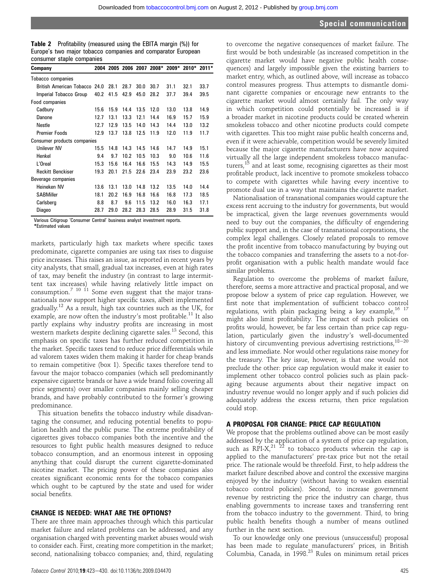| <b>Table 2</b> Profitability (measured using the EBITA margin (%)) for |
|------------------------------------------------------------------------|
| Europe's two major tobacco companies and comparator European           |
| consumer staple companies                                              |

| Company                       |      |      |      |      | 2004 2005 2006 2007 2008* 2009* 2010* 2011* |      |      |      |
|-------------------------------|------|------|------|------|---------------------------------------------|------|------|------|
| Tobacco companies             |      |      |      |      |                                             |      |      |      |
| British American Tobacco 24.0 |      | 28.1 | 28.7 | 30.0 | 30.7                                        | 31.1 | 32.1 | 33.7 |
| Imperial Tobacco Group        | 40.2 | 41.5 | 42.9 | 45.0 | 28.2                                        | 37.7 | 39.4 | 39.5 |
| Food companies                |      |      |      |      |                                             |      |      |      |
| Cadbury                       | 15.6 | 15.9 | 14.4 | 13.5 | 12.0                                        | 13.0 | 13.8 | 14.9 |
| Danone                        | 12.7 | 13.1 | 13.3 | 12.1 | 14.4                                        | 16.9 | 15.7 | 15.9 |
| Nestle                        | 12.7 | 12.9 | 13.5 | 14.0 | 14.3                                        | 14.4 | 13.0 | 13.2 |
| <b>Premier Foods</b>          | 12.9 | 13.7 | 13.8 | 12.5 | 11.9                                        | 12.0 | 11.9 | 11.7 |
| Consumer products companies   |      |      |      |      |                                             |      |      |      |
| Unilever NV                   | 15.5 | 14.8 | 14.3 | 14.5 | 14.6                                        | 14.7 | 14.9 | 15.1 |
| Henkel                        | 9.4  | 9.7  | 10.2 | 10.5 | 10.3                                        | 9.0  | 10.6 | 11.6 |
| L'Oreal                       | 15.3 | 15.6 | 16.4 | 16.6 | 15.5                                        | 14.3 | 14.9 | 15.5 |
| <b>Reckitt Benckiser</b>      | 19.3 | 20.1 | 21.5 | 22.6 | 23.4                                        | 23.9 | 23.2 | 23.6 |
| Beverage companies            |      |      |      |      |                                             |      |      |      |
| Heineken NV                   | 13.6 | 13.1 | 13.0 | 14.8 | 13.2                                        | 13.5 | 14.0 | 14.4 |
| <b>SABMiller</b>              | 18.1 | 20.2 | 16.9 | 16.8 | 16.6                                        | 16.8 | 17.3 | 18.5 |
| Carlsberg                     | 8.8  | 8.7  | 9.6  | 11.5 | 13.2                                        | 16.0 | 16.3 | 17.1 |
| Diageo                        | 28.7 | 29.0 | 28.2 | 28.3 | 28.5                                        | 28.9 | 31.5 | 31.8 |

Various Citigroup 'Consumer Central' business analyst investment reports.

\*Estimated values

markets, particularly high tax markets where specific taxes predominate, cigarette companies are using tax rises to disguise price increases. This raises an issue, as reported in recent years by city analysts, that small, gradual tax increases, even at high rates of tax, may benefit the industry (in contrast to large intermittent tax increases) while having relatively little impact on consumption.<sup>7 10 11</sup> Some even suggest that the major transnationals now support higher specific taxes, albeit implemented gradually.<sup>12</sup> As a result, high tax countries such as the UK, for example, are now often the industry's most profitable.<sup>11</sup> It also partly explains why industry profits are increasing in most western markets despite declining cigarette sales.<sup>13</sup> Second, this emphasis on specific taxes has further reduced competition in the market. Specific taxes tend to reduce price differentials while ad valorem taxes widen them making it harder for cheap brands to remain competitive (box 1). Specific taxes therefore tend to favour the major tobacco companies (which sell predominantly expensive cigarette brands or have a wide brand folio covering all price segments) over smaller companies mainly selling cheaper brands, and have probably contributed to the former's growing predominance.

This situation benefits the tobacco industry while disadvantaging the consumer, and reducing potential benefits to population health and the public purse. The extreme profitability of cigarettes gives tobacco companies both the incentive and the resources to fight public health measures designed to reduce tobacco consumption, and an enormous interest in opposing anything that could disrupt the current cigarette-dominated nicotine market. The pricing power of these companies also creates significant economic rents for the tobacco companies which ought to be captured by the state and used for wider social benefits.

#### CHANGE IS NEEDED: WHAT ARE THE OPTIONS?

There are three main approaches through which this particular market failure and related problems can be addressed, and any organisation charged with preventing market abuses would wish to consider each. First, creating more competition in the market; second, nationalising tobacco companies; and, third, regulating

to overcome the negative consequences of market failure. The first would be both undesirable (as increased competition in the cigarette market would have negative public health consequences) and largely impossible given the existing barriers to market entry, which, as outlined above, will increase as tobacco control measures progress. Thus attempts to dismantle dominant cigarette companies or encourage new entrants to the cigarette market would almost certainly fail. The only way in which competition could potentially be increased is if a broader market in nicotine products could be created wherein smokeless tobacco and other nicotine products could compete with cigarettes. This too might raise public health concerns and, even if it were achievable, competition would be severely limited because the major cigarette manufacturers have now acquired virtually all the large independent smokeless tobacco manufacturers, $15$  and at least some, recognising cigarettes as their most profitable product, lack incentive to promote smokeless tobacco to compete with cigarettes while having every incentive to promote dual use in a way that maintains the cigarette market.

Nationalisation of transnational companies would capture the excess rent accruing to the industry for governments, but would be impractical, given the large revenues governments would need to buy out the companies, the difficulty of engendering public support and, in the case of transnational corporations, the complex legal challenges. Closely related proposals to remove the profit incentive from tobacco manufacturing by buying out the tobacco companies and transferring the assets to a not-forprofit organisation with a public health mandate would face similar problems.

Regulation to overcome the problems of market failure, therefore, seems a more attractive and practical proposal, and we propose below a system of price cap regulation. However, we first note that implementation of sufficient tobacco control regulations, with plain packaging being a key example,<sup>16 17</sup> might also limit profitability. The impact of such policies on profits would, however, be far less certain than price cap regulation, particularly given the industry's well-documented history of circumventing previous advertising restrictions,  $18-20$ and less immediate. Nor would other regulations raise money for the treasury. The key issue, however, is that one would not preclude the other: price cap regulation would make it easier to implement other tobacco control policies such as plain packaging because arguments about their negative impact on industry revenue would no longer apply and if such policies did adequately address the excess returns, then price regulation could stop.

#### A PROPOSAL FOR CHANGE: PRICE CAP REGULATION

We propose that the problems outlined above can be most easily addressed by the application of a system of price cap regulation, such as  $\text{RPI-X}^{21}$  <sup>22</sup> to tobacco products wherein the cap is applied to the manufacturers' pre-tax price but not the retail price. The rationale would be threefold. First, to help address the market failure described above and control the excessive margins enjoyed by the industry (without having to weaken essential tobacco control policies). Second, to increase government revenue by restricting the price the industry can charge, thus enabling governments to increase taxes and transferring rent from the tobacco industry to the government. Third, to bring public health benefits though a number of means outlined further in the next section.

To our knowledge only one previous (unsuccessful) proposal has been made to regulate manufacturers' prices, in British Columbia, Canada, in 1998.<sup>23</sup> Rules on minimum retail prices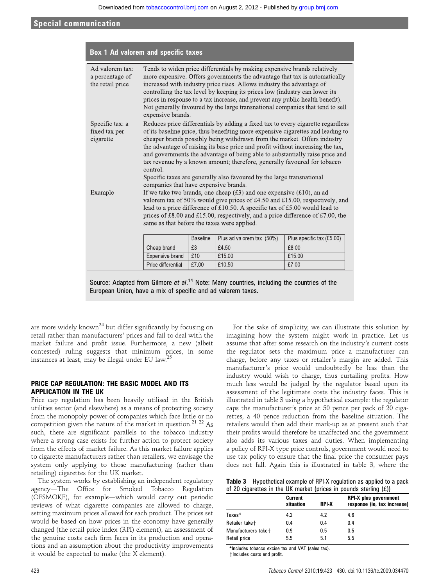| Box 1 Ad valorem and specific taxes                      |                                                                                                                                                                                                                                                                                                                                                                                                                                                                                                                                                                                                                                                                                                                                                                                                                                                                                                                                                                                                                             |                 |                           |                           |  |  |
|----------------------------------------------------------|-----------------------------------------------------------------------------------------------------------------------------------------------------------------------------------------------------------------------------------------------------------------------------------------------------------------------------------------------------------------------------------------------------------------------------------------------------------------------------------------------------------------------------------------------------------------------------------------------------------------------------------------------------------------------------------------------------------------------------------------------------------------------------------------------------------------------------------------------------------------------------------------------------------------------------------------------------------------------------------------------------------------------------|-----------------|---------------------------|---------------------------|--|--|
| Ad valorem tax:<br>a percentage of<br>the retail price   | Tends to widen price differentials by making expensive brands relatively<br>more expensive. Offers governments the advantage that tax is automatically<br>increased with industry price rises. Allows industry the advantage of<br>controlling the tax level by keeping its prices low (industry can lower its<br>prices in response to a tax increase, and prevent any public health benefit).<br>Not generally favoured by the large transnational companies that tend to sell                                                                                                                                                                                                                                                                                                                                                                                                                                                                                                                                            |                 |                           |                           |  |  |
| Specific tax: a<br>fixed tax per<br>cigarette<br>Example | expensive brands.<br>Reduces price differentials by adding a fixed tax to every cigarette regardless<br>of its baseline price, thus benefiting more expensive cigarettes and leading to<br>cheaper brands possibly being withdrawn from the market. Offers industry<br>the advantage of raising its base price and profit without increasing the tax,<br>and governments the advantage of being able to substantially raise price and<br>tax revenue by a known amount; therefore, generally favoured for tobacco<br>control.<br>Specific taxes are generally also favoured by the large transnational<br>companies that have expensive brands.<br>If we take two brands, one cheap $(f3)$ and one expensive $(f10)$ , an ad<br>valorem tax of 50% would give prices of £4.50 and £15.00, respectively, and<br>lead to a price difference of £10.50. A specific tax of £5.00 would lead to<br>prices of £8.00 and £15.00, respectively, and a price difference of £7.00, the<br>same as that before the taxes were applied. |                 |                           |                           |  |  |
|                                                          |                                                                                                                                                                                                                                                                                                                                                                                                                                                                                                                                                                                                                                                                                                                                                                                                                                                                                                                                                                                                                             | <b>Baseline</b> | Plus ad valorem tax (50%) | Plus specific tax (£5.00) |  |  |
|                                                          | Cheap brand                                                                                                                                                                                                                                                                                                                                                                                                                                                                                                                                                                                                                                                                                                                                                                                                                                                                                                                                                                                                                 | £3              | £4.50                     | £8.00                     |  |  |
|                                                          | Expensive brand                                                                                                                                                                                                                                                                                                                                                                                                                                                                                                                                                                                                                                                                                                                                                                                                                                                                                                                                                                                                             | £10             | £15.00                    | £15.00                    |  |  |
|                                                          | Price differential                                                                                                                                                                                                                                                                                                                                                                                                                                                                                                                                                                                                                                                                                                                                                                                                                                                                                                                                                                                                          | £7.00           | £10.50                    | £7.00                     |  |  |
|                                                          |                                                                                                                                                                                                                                                                                                                                                                                                                                                                                                                                                                                                                                                                                                                                                                                                                                                                                                                                                                                                                             |                 |                           |                           |  |  |

Source: Adapted from Gilmore et al.<sup>14</sup> Note: Many countries, including the countries of the<br>Euronean Union, have a mix of specific and ad valorem taxes European Union, have a mix of specific and ad valorem taxes.

are more widely known<sup>24</sup> but differ significantly by focusing on retail rather than manufacturers' prices and fail to deal with the market failure and profit issue. Furthermore, a new (albeit contested) ruling suggests that minimum prices, in some instances at least, may be illegal under EU law.25

#### PRICE CAP REGULATION: THE BASIC MODEL AND ITS APPLICATION IN THE UK

Price cap regulation has been heavily utilised in the British utilities sector (and elsewhere) as a means of protecting society from the monopoly power of companies which face little or no competition given the nature of the market in question.<sup>21</sup> <sup>22</sup> As such, there are significant parallels to the tobacco industry where a strong case exists for further action to protect society from the effects of market failure. As this market failure applies to cigarette manufacturers rather than retailers, we envisage the system only applying to those manufacturing (rather than retailing) cigarettes for the UK market.

The system works by establishing an independent regulatory agency-The Office for Smoked Tobacco Regulation (OFSMOKE), for example-which would carry out periodic reviews of what cigarette companies are allowed to charge, setting maximum prices allowed for each product. The prices set would be based on how prices in the economy have generally changed (the retail price index (RPI) element), an assessment of the genuine costs each firm faces in its production and operations and an assumption about the productivity improvements it would be expected to make (the X element).

For the sake of simplicity, we can illustrate this solution by imagining how the system might work in practice. Let us assume that after some research on the industry's current costs the regulator sets the maximum price a manufacturer can charge, before any taxes or retailer's margin are added. This manufacturer's price would undoubtedly be less than the industry would wish to charge, thus curtailing profits. How much less would be judged by the regulator based upon its assessment of the legitimate costs the industry faces. This is illustrated in table 3 using a hypothetical example: the regulator caps the manufacturer's price at 50 pence per pack of 20 cigarettes, a 40 pence reduction from the baseline situation. The retailers would then add their mark-up as at present such that their profits would therefore be unaffected and the government also adds its various taxes and duties. When implementing a policy of RPI-X type price controls, government would need to use tax policy to ensure that the final price the consumer pays does not fall. Again this is illustrated in table 3, where the

Table 3 Hypothetical example of RPI-X regulation as applied to a pack of 20 cigarettes in the UK market (prices in pounds sterling  $(f)$ )

| <b>Current</b><br>situation | <b>RPI-X</b> | <b>RPI-X plus government</b><br>response (ie, tax increase) |
|-----------------------------|--------------|-------------------------------------------------------------|
| 4.2                         | 4.2          | 4.6                                                         |
| 0.4                         | 0.4          | 0.4                                                         |
| 0.9                         | 0.5          | 0.5                                                         |
| 5.5                         | 5.1          | 5.5                                                         |
|                             |              |                                                             |

\*Includes tobacco excise tax and VAT (sales tax).

yIncludes costs and profit.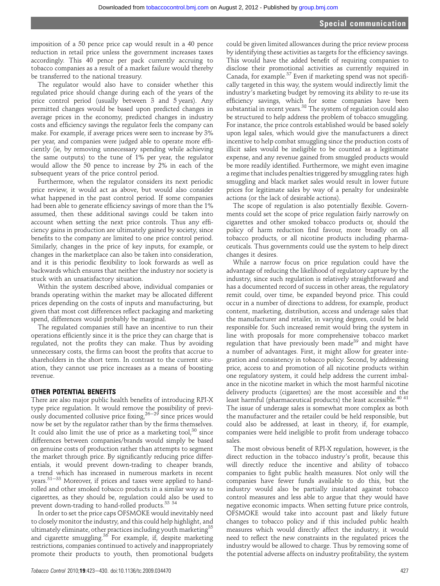imposition of a 50 pence price cap would result in a 40 pence reduction in retail price unless the government increases taxes accordingly. This 40 pence per pack currently accruing to tobacco companies as a result of a market failure would thereby be transferred to the national treasury.

The regulator would also have to consider whether this regulated price should change during each of the years of the price control period (usually between 3 and 5 years). Any permitted changes would be based upon predicted changes in average prices in the economy, predicted changes in industry costs and efficiency savings the regulator feels the company can make. For example, if average prices were seen to increase by 3% per year, and companies were judged able to operate more efficiently (ie, by removing unnecessary spending while achieving the same outputs) to the tune of 1% per year, the regulator would allow the 50 pence to increase by 2% in each of the subsequent years of the price control period.

Furthermore, when the regulator considers its next periodic price review, it would act as above, but would also consider what happened in the past control period. If some companies had been able to generate efficiency savings of more than the 1% assumed, then these additional savings could be taken into account when setting the next price controls. Thus any efficiency gains in production are ultimately gained by society, since benefits to the company are limited to one price control period. Similarly, changes in the price of key inputs, for example, or changes in the marketplace can also be taken into consideration, and it is this periodic flexibility to look forwards as well as backwards which ensures that neither the industry nor society is stuck with an unsatisfactory situation.

Within the system described above, individual companies or brands operating within the market may be allocated different prices depending on the costs of inputs and manufacturing, but given that most cost differences reflect packaging and marketing spend, differences would probably be marginal.

The regulated companies still have an incentive to run their operations efficiently since it is the price they can charge that is regulated, not the profits they can make. Thus by avoiding unnecessary costs, the firms can boost the profits that accrue to shareholders in the short term. In contrast to the current situation, they cannot use price increases as a means of boosting revenue.

#### OTHER POTENTIAL BENEFITS

There are also major public health benefits of introducing RPI-X type price regulation. It would remove the possibility of previously documented collusive price fixing,  $26-29$  since prices would now be set by the regulator rather than by the firms themselves. It could also limit the use of price as a marketing tool, $30 \text{ since}$ differences between companies/brands would simply be based on genuine costs of production rather than attempts to segment the market through price. By significantly reducing price differentials, it would prevent down-trading to cheaper brands, a trend which has increased in numerous markets in recent years. $31-33$  Moreover, if prices and taxes were applied to handrolled and other smoked tobacco products in a similar way as to cigarettes, as they should be, regulation could also be used to prevent down-trading to hand-rolled products.<sup>33</sup> <sup>34</sup>

In order to set the price caps OFSMOKE would inevitably need to closely monitor the industry, and this could help highlight, and ultimately eliminate, other practices including youth marketing<sup>35</sup> and cigarette smuggling. $36$  For example, if, despite marketing restrictions, companies continued to actively and inappropriately promote their products to youth, then promotional budgets

could be given limited allowances during the price review process by identifying these activities as targets for the efficiency savings. This would have the added benefit of requiring companies to disclose their promotional activities as currently required in Canada, for example. $37$  Even if marketing spend was not specifically targeted in this way, the system would indirectly limit the industry's marketing budget by removing its ability to re-use its efficiency savings, which for some companies have been substantial in recent years.<sup>38</sup> The system of regulation could also be structured to help address the problem of tobacco smuggling. For instance, the price controls established would be based solely upon legal sales, which would give the manufacturers a direct incentive to help combat smuggling since the production costs of illicit sales would be ineligible to be counted as a legitimate expense, and any revenue gained from smuggled products would be more readily identified. Furthermore, we might even imagine a regime that includes penalties triggered by smuggling rates: high smuggling and black market sales would result in lower future prices for legitimate sales by way of a penalty for undesirable actions (or the lack of desirable actions).

The scope of regulation is also potentially flexible. Governments could set the scope of price regulation fairly narrowly on cigarettes and other smoked tobacco products or, should the policy of harm reduction find favour, more broadly on all tobacco products, or all nicotine products including pharmaceuticals. Thus governments could use the system to help direct changes it desires.

While a narrow focus on price regulation could have the advantage of reducing the likelihood of regulatory capture by the industry, since such regulation is relatively straightforward and has a documented record of success in other areas, the regulatory remit could, over time, be expanded beyond price. This could occur in a number of directions to address, for example, product content, marketing, distribution, access and underage sales that the manufacturer and retailer, in varying degrees, could be held responsible for. Such increased remit would bring the system in line with proposals for more comprehensive tobacco market regulation that have previously been made<sup>39</sup> and might have a number of advantages. First, it might allow for greater integration and consistency in tobacco policy. Second, by addressing price, access to and promotion of all nicotine products within one regulatory system, it could help address the current imbalance in the nicotine market in which the most harmful nicotine delivery products (cigarettes) are the most accessible and the least harmful (pharmaceutical products) the least accessible.<sup>40 41</sup> The issue of underage sales is somewhat more complex as both the manufacturer and the retailer could be held responsible, but could also be addressed, at least in theory, if, for example, companies were held ineligible to profit from underage tobacco sales.

The most obvious benefit of RPI-X regulation, however, is the direct reduction in the tobacco industry's profit, because this will directly reduce the incentive and ability of tobacco companies to fight public health measures. Not only will the companies have fewer funds available to do this, but the industry would also be partially insulated against tobacco control measures and less able to argue that they would have negative economic impacts. When setting future price controls, OFSMOKE would take into account past and likely future changes to tobacco policy and if this included public health measures which would directly affect the industry, it would need to reflect the new constraints in the regulated prices the industry would be allowed to charge. Thus by removing some of the potential adverse affects on industry profitability, the system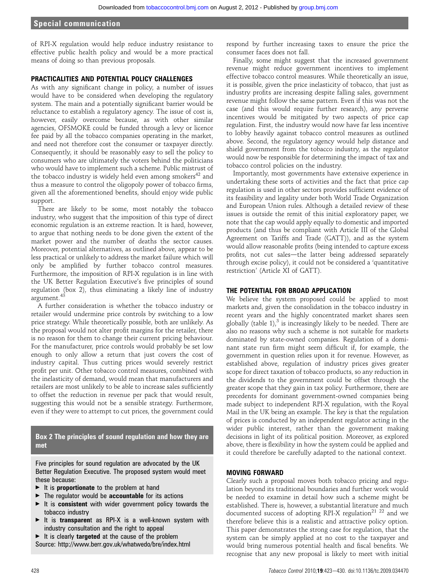of RPI-X regulation would help reduce industry resistance to effective public health policy and would be a more practical means of doing so than previous proposals.

#### PRACTICALITIES AND POTENTIAL POLICY CHALLENGES

As with any significant change in policy, a number of issues would have to be considered when developing the regulatory system. The main and a potentially significant barrier would be reluctance to establish a regulatory agency. The issue of cost is, however, easily overcome because, as with other similar agencies, OFSMOKE could be funded through a levy or licence fee paid by all the tobacco companies operating in the market, and need not therefore cost the consumer or taxpayer directly. Consequently, it should be reasonably easy to sell the policy to consumers who are ultimately the voters behind the politicians who would have to implement such a scheme. Public mistrust of the tobacco industry is widely held even among smokers<sup>42</sup> and thus a measure to control the oligopoly power of tobacco firms, given all the aforementioned benefits, should enjoy wide public support.

There are likely to be some, most notably the tobacco industry, who suggest that the imposition of this type of direct economic regulation is an extreme reaction. It is hard, however, to argue that nothing needs to be done given the extent of the market power and the number of deaths the sector causes. Moreover, potential alternatives, as outlined above, appear to be less practical or unlikely to address the market failure which will only be amplified by further tobacco control measures. Furthermore, the imposition of RPI-X regulation is in line with the UK Better Regulation Executive's five principles of sound regulation (box 2), thus eliminating a likely line of industry argument.<sup>43</sup>

A further consideration is whether the tobacco industry or retailer would undermine price controls by switching to a low price strategy. While theoretically possible, both are unlikely. As the proposal would not alter profit margins for the retailer, there is no reason for them to change their current pricing behaviour. For the manufacturer, price controls would probably be set low enough to only allow a return that just covers the cost of industry capital. Thus cutting prices would severely restrict profit per unit. Other tobacco control measures, combined with the inelasticity of demand, would mean that manufacturers and retailers are most unlikely to be able to increase sales sufficiently to offset the reduction in revenue per pack that would result, suggesting this would not be a sensible strategy. Furthermore, even if they were to attempt to cut prices, the government could

Box 2 The principles of sound regulation and how they are met

Five principles for sound regulation are advocated by the UK Better Regulation Executive. The proposed system would meet these because:

- It is **proportionate** to the problem at hand
- $\blacktriangleright$  The regulator would be **accountable** for its actions
- $\blacktriangleright$  It is consistent with wider government policy towards the tobacco industry
- $\blacktriangleright$  It is transparent as RPI-X is a well-known system with industry consultation and the right to appeal
- $\blacktriangleright$  It is clearly targeted at the cause of the problem
- Source: http://www.berr.gov.uk/whatwedo/bre/index.html

respond by further increasing taxes to ensure the price the consumer faces does not fall.

Finally, some might suggest that the increased government revenue might reduce government incentives to implement effective tobacco control measures. While theoretically an issue, it is possible, given the price inelasticity of tobacco, that just as industry profits are increasing despite falling sales, government revenue might follow the same pattern. Even if this was not the case (and this would require further research), any perverse incentives would be mitigated by two aspects of price cap regulation. First, the industry would now have far less incentive to lobby heavily against tobacco control measures as outlined above. Second, the regulatory agency would help distance and shield government from the tobacco industry, as the regulator would now be responsible for determining the impact of tax and tobacco control policies on the industry.

Importantly, most governments have extensive experience in undertaking these sorts of activities and the fact that price cap regulation is used in other sectors provides sufficient evidence of its feasibility and legality under both World Trade Organization and European Union rules. Although a detailed review of these issues is outside the remit of this initial exploratory paper, we note that the cap would apply equally to domestic and imported products (and thus be compliant with Article III of the Global Agreement on Tariffs and Trade (GATT)), and as the system would allow reasonable profits (being intended to capture excess profits, not cut sales-the latter being addressed separately through excise policy), it could not be considered a 'quantitative restriction' (Article XI of GATT).

#### THE POTENTIAL FOR BROAD APPLICATION

We believe the system proposed could be applied to most markets and, given the consolidation in the tobacco industry in recent years and the highly concentrated market shares seen globally (table 1), $^3$  is increasingly likely to be needed. There are also no reasons why such a scheme is not suitable for markets dominated by state-owned companies. Regulation of a dominant state run firm might seem difficult if, for example, the government in question relies upon it for revenue. However, as established above, regulation of industry prices gives greater scope for direct taxation of tobacco products, so any reduction in the dividends to the government could be offset through the greater scope that they gain in tax policy. Furthermore, there are precedents for dominant government-owned companies being made subject to independent RPI-X regulation, with the Royal Mail in the UK being an example. The key is that the regulation of prices is conducted by an independent regulator acting in the wider public interest, rather than the government making decisions in light of its political position. Moreover, as explored above, there is flexibility in how the system could be applied and it could therefore be carefully adapted to the national context.

#### MOVING FORWARD

Clearly such a proposal moves both tobacco pricing and regulation beyond its traditional boundaries and further work would be needed to examine in detail how such a scheme might be established. There is, however, a substantial literature and much documented success of adopting RPI-X regulation<sup>21 22</sup> and we therefore believe this is a realistic and attractive policy option. This paper demonstrates the strong case for regulation, that the system can be simply applied at no cost to the taxpayer and would bring numerous potential health and fiscal benefits. We recognise that any new proposal is likely to meet with initial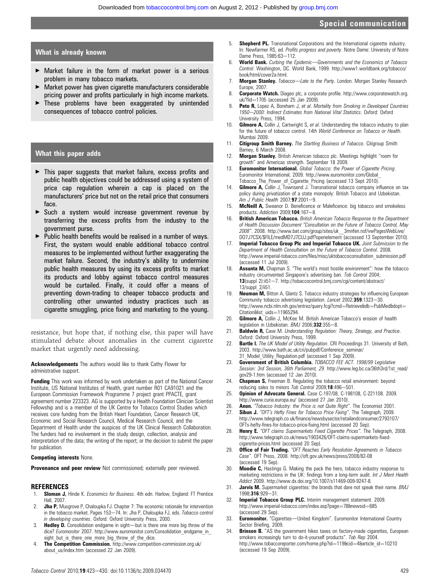#### What is already known

- < Market failure in the form of market power is a serious problem in many tobacco markets.
- < Market power has given cigarette manufacturers considerable pricing power and profits particularly in high income markets.
- These problems have been exaggerated by unintended consequences of tobacco control policies.

#### What this paper adds

- $\blacktriangleright$  This paper suggests that market failure, excess profits and public health objectives could be addressed using a system of price cap regulation wherein a cap is placed on the manufacturers' price but not on the retail price that consumers face.
- ▶ Such a system would increase government revenue by transferring the excess profits from the industry to the government purse.
- $\blacktriangleright$  Public health benefits would be realised in a number of ways. First, the system would enable additional tobacco control measures to be implemented without further exaggerating the market failure. Second, the industry's ability to undermine public health measures by using its excess profits to market its products and lobby against tobacco control measures would be curtailed. Finally, it could offer a means of preventing down-trading to cheaper tobacco products and controlling other unwanted industry practices such as cigarette smuggling, price fixing and marketing to the young.

resistance, but hope that, if nothing else, this paper will have stimulated debate about anomalies in the current cigarette market that urgently need addressing.

Acknowledgements The authors would like to thank Cathy Flower for administrative support.

**Funding** This work was informed by work undertaken as part of the National Cancer Institute, US National Institutes of Health, grant number R01 CA91021 and the European Commission Framework Programme 7 project grant PPACTE, grant agreement number 223323. AG is supported by a Health Foundation Clinician Scientist Fellowship and is a member of the UK Centre for Tobacco Control Studies which receives core funding from the British Heart Foundation, Cancer Research UK, Economic and Social Research Council, Medical Research Council, and the Department of Health under the auspices of the UK Clinical Research Collaboration. The funders had no involvement in the study design, collection, analysis and interpretation of the data; the writing of the report; or the decision to submit the paper for publication.

#### Competing interests None.

Provenance and peer review Not commissioned; externally peer reviewed.

#### **REFERENCES**

- 1. Sloman J, Hinde K. Economics for Business. 4th edn. Harlow, England: FT Prentice Hall, 2007.
- 2. **Jha P,** Musgrove P, Chaloupka FJ. Chapter 7: The economic rationale for intervention in the tobacco market. Pages 153-74. In: Jha P, Chaloupka FJ, eds. Tobacco control in developing countries. Oxford: Oxford University Press, 2000.
- Hedley D. Consolidation endgame in sight-but is there one more big throw of the dice? Euromonitor 2007. http://www.euromonitor.com/Consolidation\_endgame\_in sight but is there one more big throw of the dice.
- 4. The Competition Commission. http://www.competition-commission.org.uk/ about us/index.htm (accessed 22 Jan 2009).
- 5. **Shepherd PL.** Transnational Corporations and the International cigarette industry. In: Newfarmer RS, ed. Profits progress and poverty. Notre Dame: University of Notre Dame Press, 1985:63-112.
- 6. World Bank. Curbing the Epidemic-Governments and the Economics of Tobacco Control. Washington, DC. World Bank, 1999. http://www1.worldbank.org/tobacco/ book/html/cover2a.html.
- 7. Morgan Stanley. Tobacco-Late to the Party. London. Morgan Stanley Research Europe, 2007.
- 8. **Corporate Watch.** Diageo plc, a corporate profile. http://www.corporatewatch.org. uk/?lid=1705 (accessed 25 Jan 2009).
- 9. **Peto R.** Lopez A, Boreham J, et al. Mortality from Smoking in Developed Countries 1950-2000: Indirect Estimates from National Vital Statistics. Oxford: Oxford University Press, 1994.
- 10. **Gilmore A,** Collin J, Cartwright S, et al. Understanding the tobacco industry to plan for the future of tobacco control. 14th World Conference on Tobacco or Health. Mumbai 2009.
- 11. Citigroup Smith Barney. The Startling Business of Tobacco. Citigroup Smith Barney, 6 March 2008.
- 12. Morgan Stanley. British American tobacco plc. Meetings highlight "room for growth" and Americas strength. September 18 2009.
- 13. **Euromonitor International.** Global Tobacco: the Power of Cigarette Pricing. Euromonitor International, 2009. http://www.euromonitor.com/Global\_ Tobacco The Power of Cigarette Pricing (accessed 13 Sept 2010).
- 14. **Gilmore A, Collin J, Townsend J. Transnational tobacco company influence on tax** policy during privatization of a state monopoly: British Tobacco and Uzbekistan. Am  $\dot{J}$  Public Health 2007;97:2001-9.
- 15. McNeill A, Sweanor D. Beneficence or Maleficence: big tobacco and smokeless products. Addiction  $2009; 104:167-8$ .
- 16. British American Tobacco. British American Tobacco Response to the Department of Health Discussion Document "Consultation on the Future of Tobacco Control, May 2008". 2008. http://www.bat.com/group/sites/uk\_\_3mnfen.nsf/vwPagesWebLive/ DO7J7CSX/\$FILE/medMD7J7CUJ.pdf?openelement (accessed 13 September 2010).
- 17. Imperial Tobacco Group Plc and Imperial Tobacco UK. Joint Submission to the Department of Health Consultation on the Future of Tobacco Control. 2008. http://www.imperial-tobacco.com/files/misc/uktobaccoconsultation\_submission.pdf (accessed 11 Jul 2009).
- 18. **Assunta M, Chapman S.** "The world's most hostile environment": how the tobacco industry circumvented Singapore's advertising ban. Tob Control 2004; 13(suppl 2):ii51-7. http://tobaccocontrol.bmj.com/cgi/content/abstract/ 13/suppl\_2/ii51.
- 19. **Neuman M, Bitton A, Glantz S. Tobacco industry strategies for influencing European** Community tobacco advertising legislation. Lancet 2002;359:1323-30. http://www.ncbi.nlm.nih.gov/entrez/query.fcgi?cmd=Retrieve&db=PubMed&dopt= Citation&list\_uids=11965294.
- 20. **Gilmore A**, Collin J, McKee M. British American Tobacco's erosion of health legislation in Uzbekistan. BMJ 2006;332:355-8.
- 21. Baldwin R, Cave M. Understanding Regulation: Theory, Strategy, and Practice. Oxford: Oxford University Press, 1999.
- **Bartle I.** The UK Model of Utility Regulation. CRI Proceedings 31. University of Bath, 2003. http://www.bath.ac.uk/cri/pubpdf/Conference\_seminar/ 31 Model Utility Regulation.pdf (accessed 1 Sep 2009).
- 23. Government of British Columbia. TOBACCO FEE ACT. 1998/99 Legislative Session: 3rd Session, 36th Parliament, 29. http://www.leg.bc.ca/36th3rd/1st\_read/ gov29-1.htm (accessed 12 Jan 2010).
- 24. Chapman S, Freeman B. Regulating the tobacco retail environment: beyond reducing sales to minors Tob Control 2009;18:496-501.
- 25. Opinion of Advocate General. Case C-197/08, C-198108, C-221108. 2009. http://www.curia.europa.eu/ (accessed 27 Jan 2010).
- 26. **Anon.** "Tobacco Industry: the Price is not Quite Right". The Economist 2001.
- 27. Sibun J. "OFT's Hefty Fines for Tobacco Price Fixing". The Telegraph, 2009. http://www.telegraph.co.uk/finance/newsbysector/retailandconsumer/2793107/ OFTs-hefty-fines-for-tobacco-price-fixing.html (accessed 20 Sep).
- 28. Henry E. "OFT claims Supermarkets Fixed Cigarette Prices". The Telegraph, 2008. http://www.telegraph.co.uk/news/1903426/OFT-claims-supermarkets-fixedcigarette-prices.html (accessed 20 Sep).
- 29. **Office of Fair Trading.** "OFT Reaches Early Resolution Agreements in Tobacco Case". OFT Press, 2008. http://oft.gov.uk/news/press/2008/82-08 (accessed 19 Sep).
- 30. Moodie C, Hastings G. Making the pack the hero, tobacco industry response to marketing restrictions in the UK: findings from a long-term audit. Int J Ment Health Addict 2009. http://www.dx.doi.org/10.1007/s11469-009-9247-8.
- 31. Jarvis M. Supermarket cigarettes: the brands that dare not speak their name. BMJ 1998;316:929-31.
- 32. Imperial Tobacco Group PLC. Interim management statement. 2009. http://www.imperial-tobacco.com/index.asp?page=78&newsid=685 (accessed 29 Sep).
- 33. Euromonitor. "Cigarettes-United Kingdom". Euromonitor International Country Sector Briefing, 2009.
- 34. **Brinson B.** "AS the government hikes taxes on factory-made cigarettes, European smokers increasingly turn to do-it-yourself products". Tob Rep 2004. http://www.tobaccoreporter.com/home.php?id=119&cid=4&article\_id=10210 (accessed 19 Sep 2009).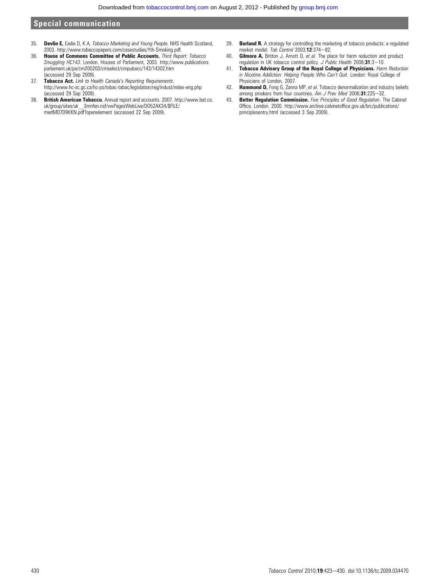- 35. **Devlin E,** Eadie D, K A. Tobacco Marketing and Young People. NHS Health Scotland, 2003. http://www.tobaccopapers.com/casestudies/Yth-Smoking.pdf.
- 36. House of Commons Committee of Public Accounts. Third Report: Tobacco Smuggling HC143. London. Houses of Parliament, 2003. http://www.publications. parliament.uk/pa/cm200203/cmselect/cmpubacc/143/14302.htm (accessed 29 Sep 2009).
- 37. Tobacco Act. Link to Health Canada's Reporting Requirements. http://www.hc-sc.gc.ca/hc-ps/tobac-tabac/legislation/reg/indust/index-eng.php (accessed 29 Sep 2009).
- 38. British American Tobacco. Annual report and accounts. 2007. http://www.bat.co. uk/group/sites/uk\_\_3mnfen.nsf/vwPagesWebLive/DO52AK34/\$FILE/ medMD7D9KKN.pdf?openelement (accessed 22 Sep 2009).
- 39. **Borland R.** A strategy for controlling the marketing of tobacco products: a regulated market model. Tob Control 2003;12:374-82.
- 40. **Gilmore A,** Britton J, Arnott D, et al. The place for harm reduction and product regulation in UK tobacco control policy. J Public Health 2008;31:3-10.
- 41. Tobacco Advisory Group of the Royal College of Physicians. Harm Reduction in Nicotine Addiction: Helping People Who Can't Quit. London: Royal College of Physicians of London, 2007.
- 42. Hammond D, Fong G, Zanna MP, et al. Tobacco denormalization and industry beliefs among smokers from four countries. Am J Prev Med 2006;31:225-32.
- 43. Better Regulation Commission. Five Principles of Good Regulation. The Cabinet Office. London. 2000. http://www.archive.cabinetoffice.gov.uk/brc/publications/ principlesentry.html (accessed 3 Sep 2009).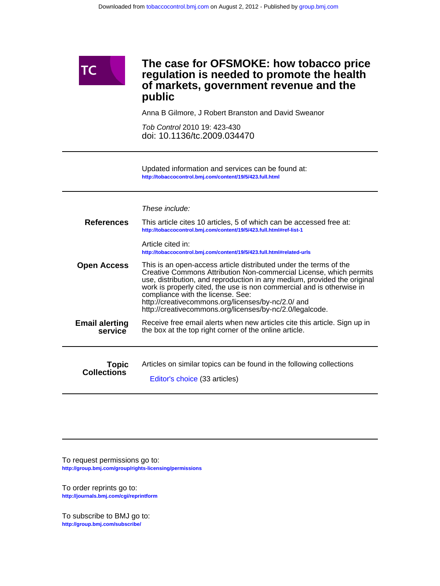

### **public of markets, government revenue and the regulation is needed to promote the health The case for OFSMOKE: how tobacco price**

Anna B Gilmore, J Robert Branston and David Sweanor

doi: 10.1136/tc.2009.034470 Tob Control 2010 19: 423-430

**<http://tobaccocontrol.bmj.com/content/19/5/423.full.html>** Updated information and services can be found at:

|                                    | These include:                                                                                                                                                                                                                                                                                                                                                                                                                                      |
|------------------------------------|-----------------------------------------------------------------------------------------------------------------------------------------------------------------------------------------------------------------------------------------------------------------------------------------------------------------------------------------------------------------------------------------------------------------------------------------------------|
| <b>References</b>                  | This article cites 10 articles, 5 of which can be accessed free at:<br>http://tobaccocontrol.bmj.com/content/19/5/423.full.html#ref-list-1                                                                                                                                                                                                                                                                                                          |
|                                    | Article cited in:<br>http://tobaccocontrol.bmj.com/content/19/5/423.full.html#related-urls                                                                                                                                                                                                                                                                                                                                                          |
| <b>Open Access</b>                 | This is an open-access article distributed under the terms of the<br>Creative Commons Attribution Non-commercial License, which permits<br>use, distribution, and reproduction in any medium, provided the original<br>work is properly cited, the use is non commercial and is otherwise in<br>compliance with the license. See:<br>http://creativecommons.org/licenses/by-nc/2.0/ and<br>http://creativecommons.org/licenses/by-nc/2.0/legalcode. |
| <b>Email alerting</b><br>service   | Receive free email alerts when new articles cite this article. Sign up in<br>the box at the top right corner of the online article.                                                                                                                                                                                                                                                                                                                 |
|                                    | Articles on similar topics can be found in the following collections                                                                                                                                                                                                                                                                                                                                                                                |
| <b>Topic</b><br><b>Collections</b> |                                                                                                                                                                                                                                                                                                                                                                                                                                                     |
|                                    | Editor's choice (33 articles)                                                                                                                                                                                                                                                                                                                                                                                                                       |

**<http://group.bmj.com/group/rights-licensing/permissions>** To request permissions go to:

**<http://journals.bmj.com/cgi/reprintform>** To order reprints go to:

**<http://group.bmj.com/subscribe/>** To subscribe to BMJ go to: